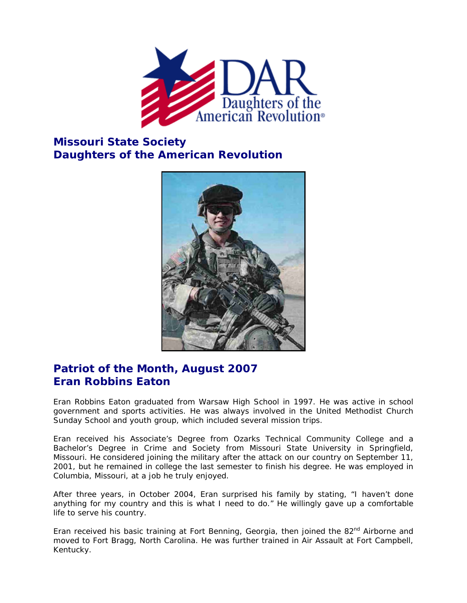

## **Missouri State Society Daughters of the American Revolution**



## **Patriot of the Month, August 2007 Eran Robbins Eaton**

Eran Robbins Eaton graduated from Warsaw High School in 1997. He was active in school government and sports activities. He was always involved in the United Methodist Church Sunday School and youth group, which included several mission trips.

Eran received his Associate's Degree from Ozarks Technical Community College and a Bachelor's Degree in Crime and Society from Missouri State University in Springfield, Missouri. He considered joining the military after the attack on our country on September 11, 2001, but he remained in college the last semester to finish his degree. He was employed in Columbia, Missouri, at a job he truly enjoyed.

After three years, in October 2004, Eran surprised his family by stating, "I haven't done anything for my country and this is what I need to do." He willingly gave up a comfortable life to serve his country.

Eran received his basic training at Fort Benning, Georgia, then joined the  $82<sup>nd</sup>$  Airborne and moved to Fort Bragg, North Carolina. He was further trained in Air Assault at Fort Campbell, Kentucky.